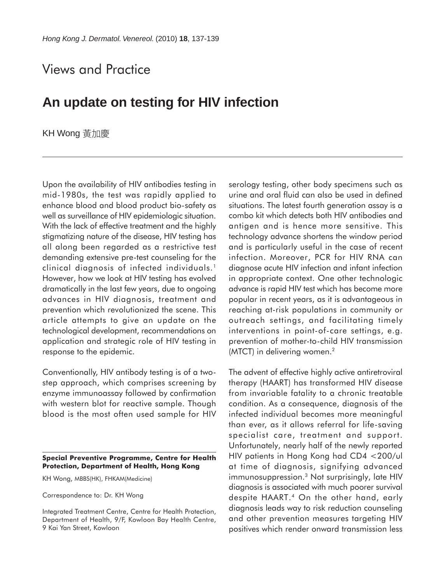## Views and Practice

## **An update on testing for HIV infection**

KH Wong 黃加慶

Upon the availability of HIV antibodies testing in mid-1980s, the test was rapidly applied to enhance blood and blood product bio-safety as well as surveillance of HIV epidemiologic situation. With the lack of effective treatment and the highly stigmatizing nature of the disease, HIV testing has all along been regarded as a restrictive test demanding extensive pre-test counseling for the clinical diagnosis of infected individuals.<sup>1</sup> However, how we look at HIV testing has evolved dramatically in the last few years, due to ongoing advances in HIV diagnosis, treatment and prevention which revolutionized the scene. This article attempts to give an update on the technological development, recommendations on application and strategic role of HIV testing in response to the epidemic.

Conventionally, HIV antibody testing is of a twostep approach, which comprises screening by enzyme immunoassay followed by confirmation with western blot for reactive sample. Though blood is the most often used sample for HIV

KH Wong, MBBS(HK), FHKAM(Medicine)

Correspondence to: Dr. KH Wong

Integrated Treatment Centre, Centre for Health Protection, Department of Health, 9/F, Kowloon Bay Health Centre, 9 Kai Yan Street, Kowloon

serology testing, other body specimens such as urine and oral fluid can also be used in defined situations. The latest fourth generation assay is a combo kit which detects both HIV antibodies and antigen and is hence more sensitive. This technology advance shortens the window period and is particularly useful in the case of recent infection. Moreover, PCR for HIV RNA can diagnose acute HIV infection and infant infection in appropriate context. One other technologic advance is rapid HIV test which has become more popular in recent years, as it is advantageous in reaching at-risk populations in community or outreach settings, and facilitating timely interventions in point-of-care settings, e.g. prevention of mother-to-child HIV transmission (MTCT) in delivering women.<sup>2</sup>

The advent of effective highly active antiretroviral therapy (HAART) has transformed HIV disease from invariable fatality to a chronic treatable condition. As a consequence, diagnosis of the infected individual becomes more meaningful than ever, as it allows referral for life-saving specialist care, treatment and support. Unfortunately, nearly half of the newly reported HIV patients in Hong Kong had CD4 <200/ul at time of diagnosis, signifying advanced immunosuppression.3 Not surprisingly, late HIV diagnosis is associated with much poorer survival despite HAART.4 On the other hand, early diagnosis leads way to risk reduction counseling and other prevention measures targeting HIV positives which render onward transmission less

**Special Preventive Programme, Centre for Health Protection, Department of Health, Hong Kong**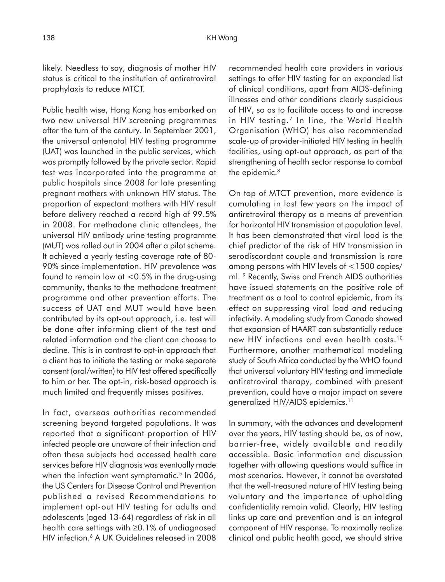likely. Needless to say, diagnosis of mother HIV status is critical to the institution of antiretroviral prophylaxis to reduce MTCT.

Public health wise, Hong Kong has embarked on two new universal HIV screening programmes after the turn of the century. In September 2001, the universal antenatal HIV testing programme (UAT) was launched in the public services, which was promptly followed by the private sector. Rapid test was incorporated into the programme at public hospitals since 2008 for late presenting pregnant mothers with unknown HIV status. The proportion of expectant mothers with HIV result before delivery reached a record high of 99.5% in 2008. For methadone clinic attendees, the universal HIV antibody urine testing programme (MUT) was rolled out in 2004 after a pilot scheme. It achieved a yearly testing coverage rate of 80- 90% since implementation. HIV prevalence was found to remain low at  $< 0.5\%$  in the drug-using community, thanks to the methadone treatment programme and other prevention efforts. The success of UAT and MUT would have been contributed by its opt-out approach, i.e. test will be done after informing client of the test and related information and the client can choose to decline. This is in contrast to opt-in approach that a client has to initiate the testing or make separate consent (oral/written) to HIV test offered specifically to him or her. The opt-in, risk-based approach is much limited and frequently misses positives.

In fact, overseas authorities recommended screening beyond targeted populations. It was reported that a significant proportion of HIV infected people are unaware of their infection and often these subjects had accessed health care services before HIV diagnosis was eventually made when the infection went symptomatic.<sup>5</sup> In 2006, the US Centers for Disease Control and Prevention published a revised Recommendations to implement opt-out HIV testing for adults and adolescents (aged 13-64) regardless of risk in all health care settings with ≥0.1% of undiagnosed HIV infection.<sup>6</sup> A UK Guidelines released in 2008 recommended health care providers in various settings to offer HIV testing for an expanded list of clinical conditions, apart from AIDS-defining illnesses and other conditions clearly suspicious of HIV, so as to facilitate access to and increase in HIV testing.<sup>7</sup> In line, the World Health Organisation (WHO) has also recommended scale-up of provider-initiated HIV testing in health facilities, using opt-out approach, as part of the strengthening of health sector response to combat the epidemic.<sup>8</sup>

On top of MTCT prevention, more evidence is cumulating in last few years on the impact of antiretroviral therapy as a means of prevention for horizontal HIV transmission at population level. It has been demonstrated that viral load is the chief predictor of the risk of HIV transmission in serodiscordant couple and transmission is rare among persons with HIV levels of <1500 copies/ ml. 9 Recently, Swiss and French AIDS authorities have issued statements on the positive role of treatment as a tool to control epidemic, from its effect on suppressing viral load and reducing infectivity. A modeling study from Canada showed that expansion of HAART can substantially reduce new HIV infections and even health costs.<sup>10</sup> Furthermore, another mathematical modeling study of South Africa conducted by the WHO found that universal voluntary HIV testing and immediate antiretroviral therapy, combined with present prevention, could have a major impact on severe generalized HIV/AIDS epidemics.<sup>11</sup>

In summary, with the advances and development over the years, HIV testing should be, as of now, barrier-free, widely available and readily accessible. Basic information and discussion together with allowing questions would suffice in most scenarios. However, it cannot be overstated that the well-treasured nature of HIV testing being voluntary and the importance of upholding confidentiality remain valid. Clearly, HIV testing links up care and prevention and is an integral component of HIV response. To maximally realize clinical and public health good, we should strive